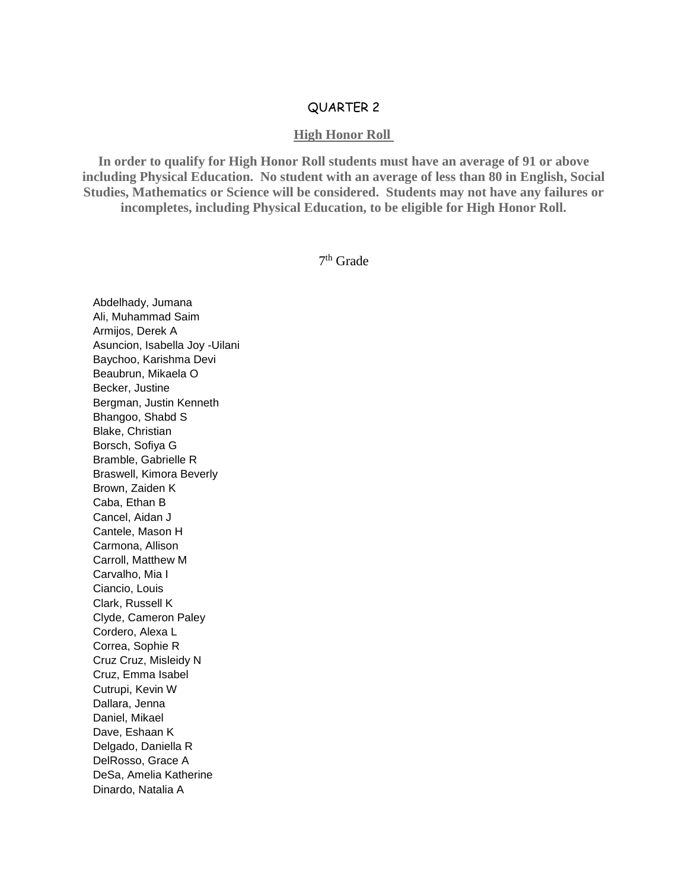## QUARTER 2

## **High Honor Roll**

**In order to qualify for High Honor Roll students must have an average of 91 or above including Physical Education. No student with an average of less than 80 in English, Social Studies, Mathematics or Science will be considered. Students may not have any failures or incompletes, including Physical Education, to be eligible for High Honor Roll.**

7 th Grade

Abdelhady, Jumana Ali, Muhammad Saim Armijos, Derek A Asuncion, Isabella Joy -Uilani Baychoo, Karishma Devi Beaubrun, Mikaela O Becker, Justine Bergman, Justin Kenneth Bhangoo, Shabd S Blake, Christian Borsch, Sofiya G Bramble, Gabrielle R Braswell, Kimora Beverly Brown, Zaiden K Caba, Ethan B Cancel, Aidan J Cantele, Mason H Carmona, Allison Carroll, Matthew M Carvalho, Mia I Ciancio, Louis Clark, Russell K Clyde, Cameron Paley Cordero, Alexa L Correa, Sophie R Cruz Cruz, Misleidy N Cruz, Emma Isabel Cutrupi, Kevin W Dallara, Jenna Daniel, Mikael Dave, Eshaan K Delgado, Daniella R DelRosso, Grace A DeSa, Amelia Katherine Dinardo, Natalia A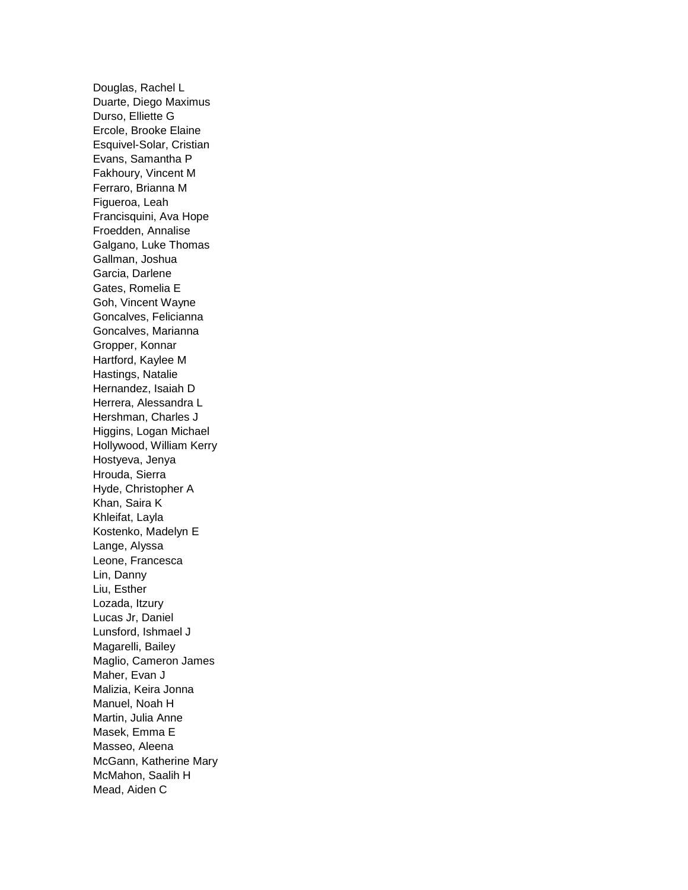Douglas, Rachel L Duarte, Diego Maximus Durso, Elliette G Ercole, Brooke Elaine Esquivel-Solar, Cristian Evans, Samantha P Fakhoury, Vincent M Ferraro, Brianna M Figueroa, Leah Francisquini, Ava Hope Froedden, Annalise Galgano, Luke Thomas Gallman, Joshua Garcia, Darlene Gates, Romelia E Goh, Vincent Wayne Goncalves, Felicianna Goncalves, Marianna Gropper, Konnar Hartford, Kaylee M Hastings, Natalie Hernandez, Isaiah D Herrera, Alessandra L Hershman, Charles J Higgins, Logan Michael Hollywood, William Kerry Hostyeva, Jenya Hrouda, Sierra Hyde, Christopher A Khan, Saira K Khleifat, Layla Kostenko, Madelyn E Lange, Alyssa Leone, Francesca Lin, Danny Liu, Esther Lozada, Itzury Lucas Jr, Daniel Lunsford, Ishmael J Magarelli, Bailey Maglio, Cameron James Maher, Evan J Malizia, Keira Jonna Manuel, Noah H Martin, Julia Anne Masek, Emma E Masseo, Aleena McGann, Katherine Mary McMahon, Saalih H Mead, Aiden C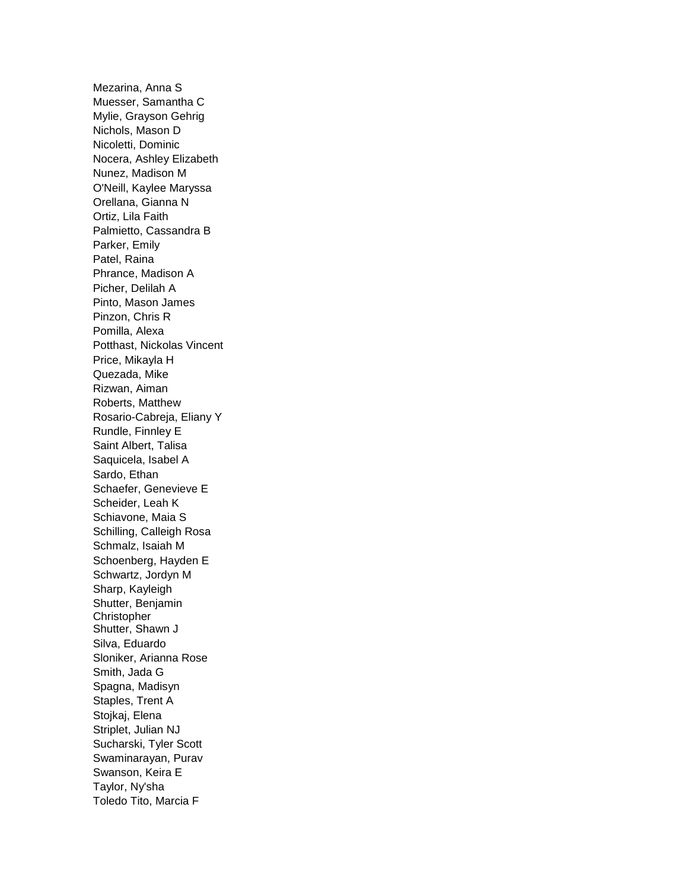Mezarina, Anna S Muesser, Samantha C Mylie, Grayson Gehrig Nichols, Mason D Nicoletti, Dominic Nocera, Ashley Elizabeth Nunez, Madison M O'Neill, Kaylee Maryssa Orellana, Gianna N Ortiz, Lila Faith Palmietto, Cassandra B Parker, Emily Patel, Raina Phrance, Madison A Picher, Delilah A Pinto, Mason James Pinzon, Chris R Pomilla, Alexa Potthast, Nickolas Vincent Price, Mikayla H Quezada, Mike Rizwan, Aiman Roberts, Matthew Rosario-Cabreja, Eliany Y Rundle, Finnley E Saint Albert, Talisa Saquicela, Isabel A Sardo, Ethan Schaefer, Genevieve E Scheider, Leah K Schiavone, Maia S Schilling, Calleigh Rosa Schmalz, Isaiah M Schoenberg, Hayden E Schwartz, Jordyn M Sharp, Kayleigh Shutter, Benjamin Christopher Shutter, Shawn J Silva, Eduardo Sloniker, Arianna Rose Smith, Jada G Spagna, Madisyn Staples, Trent A Stojkaj, Elena Striplet, Julian NJ Sucharski, Tyler Scott Swaminarayan, Purav Swanson, Keira E Taylor, Ny'sha Toledo Tito, Marcia F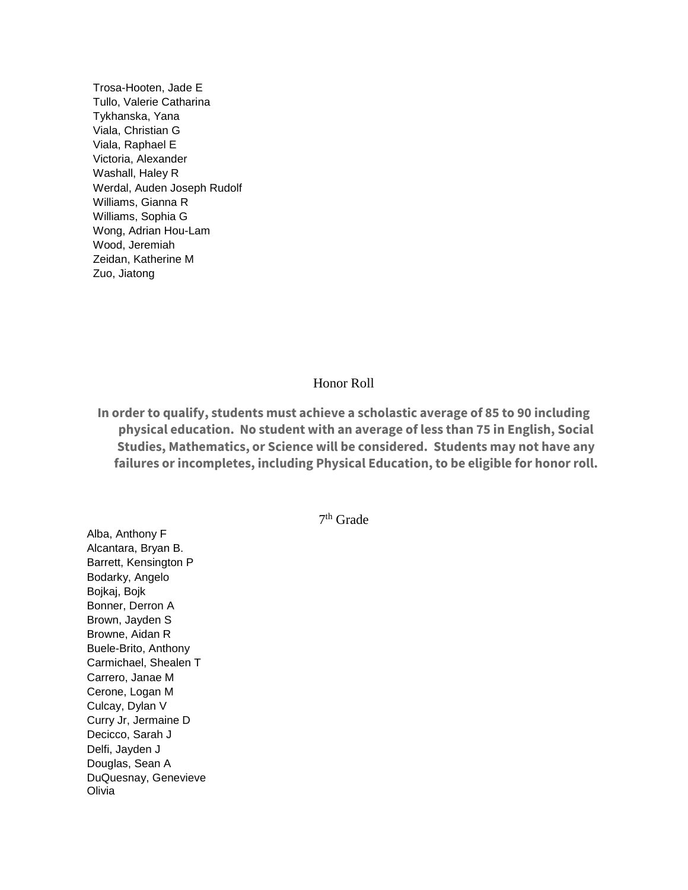Trosa-Hooten, Jade E Tullo, Valerie Catharina Tykhanska, Yana Viala, Christian G Viala, Raphael E Victoria, Alexander Washall, Haley R Werdal, Auden Joseph Rudolf Williams, Gianna R Williams, Sophia G Wong, Adrian Hou-Lam Wood, Jeremiah Zeidan, Katherine M Zuo, Jiatong

## Honor Roll

**In order to qualify, students must achieve a scholastic average of 85 to 90 including physical education. No student with an average of less than 75 in English, Social Studies, Mathematics, or Science will be considered. Students may not have any failures or incompletes, including Physical Education, to be eligible for honor roll.**

7 th Grade

Alba, Anthony F Alcantara, Bryan B. Barrett, Kensington P Bodarky, Angelo Bojkaj, Bojk Bonner, Derron A Brown, Jayden S Browne, Aidan R Buele-Brito, Anthony Carmichael, Shealen T Carrero, Janae M Cerone, Logan M Culcay, Dylan V Curry Jr, Jermaine D Decicco, Sarah J Delfi, Jayden J Douglas, Sean A DuQuesnay, Genevieve Olivia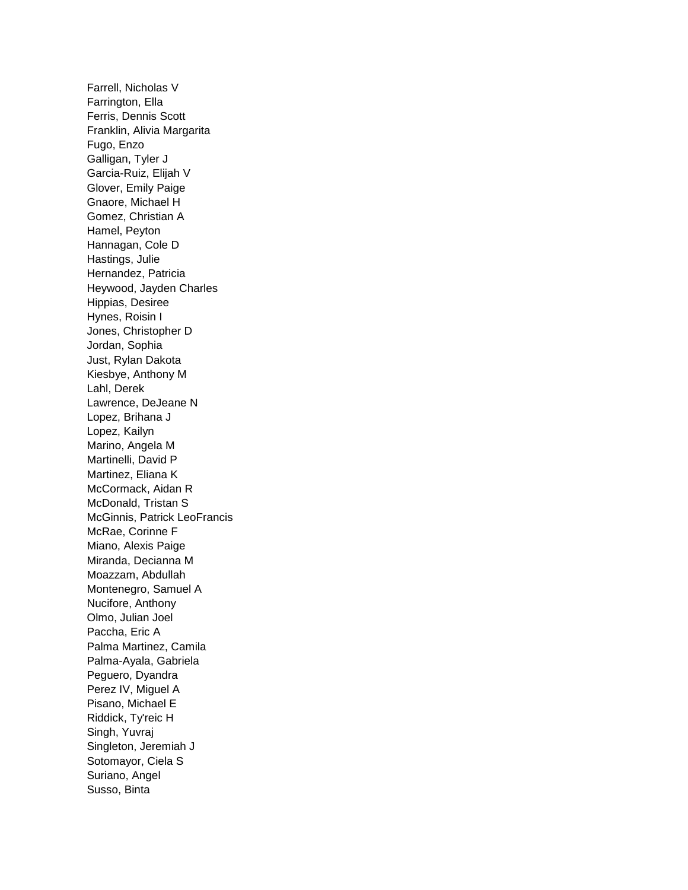Farrell, Nicholas V Farrington, Ella Ferris, Dennis Scott Franklin, Alivia Margarita Fugo, Enzo Galligan, Tyler J Garcia-Ruiz, Elijah V Glover, Emily Paige Gnaore, Michael H Gomez, Christian A Hamel, Peyton Hannagan, Cole D Hastings, Julie Hernandez, Patricia Heywood, Jayden Charles Hippias, Desiree Hynes, Roisin I Jones, Christopher D Jordan, Sophia Just, Rylan Dakota Kiesbye, Anthony M Lahl, Derek Lawrence, DeJeane N Lopez, Brihana J Lopez, Kailyn Marino, Angela M Martinelli, David P Martinez, Eliana K McCormack, Aidan R McDonald, Tristan S McGinnis, Patrick LeoFrancis McRae, Corinne F Miano, Alexis Paige Miranda, Decianna M Moazzam, Abdullah Montenegro, Samuel A Nucifore, Anthony Olmo, Julian Joel Paccha, Eric A Palma Martinez, Camila Palma-Ayala, Gabriela Peguero, Dyandra Perez IV, Miguel A Pisano, Michael E Riddick, Ty'reic H Singh, Yuvraj Singleton, Jeremiah J Sotomayor, Ciela S Suriano, Angel Susso, Binta